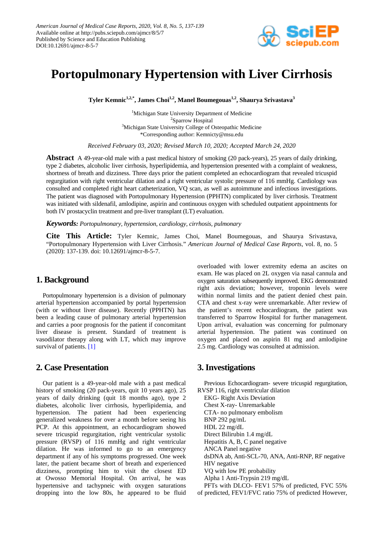

# **Portopulmonary Hypertension with Liver Cirrhosis**

Tyler Kemnic<sup>1,2,\*</sup>, James Choi<sup>1,2</sup>, Manel Boumegouas<sup>1,2</sup>, Shaurya Srivastava<sup>3</sup>

<sup>1</sup>Michigan State University Department of Medicine <sup>2</sup>Sparrow Hospital <sup>3</sup>Michigan State University College of Osteopathic Medicine \*Corresponding author: Kemnicty@msu.edu

*Received February 03, 2020; Revised March 10, 2020; Accepted March 24, 2020*

**Abstract** A 49-year-old male with a past medical history of smoking (20 pack-years), 25 years of daily drinking, type 2 diabetes, alcoholic liver cirrhosis, hyperlipidemia, and hypertension presented with a complaint of weakness, shortness of breath and dizziness. Three days prior the patient completed an echocardiogram that revealed tricuspid regurgitation with right ventricular dilation and a right ventricular systolic pressure of 116 mmHg. Cardiology was consulted and completed right heart catheterization, VQ scan, as well as autoimmune and infectious investigations. The patient was diagnosed with Portopulmonary Hypertension (PPHTN) complicated by liver cirrhosis. Treatment was initiated with sildenafil, amlodipine, aspirin and continuous oxygen with scheduled outpatient appointments for both IV prostacyclin treatment and pre-liver transplant (LT) evaluation.

*Keywords: Portopulmonary, hypertension, cardiology, cirrhosis, pulmonary*

**Cite This Article:** Tyler Kemnic, James Choi, Manel Boumegouas, and Shaurya Srivastava, "Portopulmonary Hypertension with Liver Cirrhosis." *American Journal of Medical Case Reports*, vol. 8, no. 5 (2020): 137-139. doi: 10.12691/ajmcr-8-5-7.

#### **1. Background**

Portopulmonary hypertension is a division of pulmonary arterial hypertension accompanied by portal hypertension (with or without liver disease). Recently (PPHTN) has been a leading cause of pulmonary arterial hypertension and carries a poor prognosis for the patient if concomitant liver disease is present. Standard of treatment is vasodilator therapy along with LT, which may improve survival of patients. [\[1\]](#page-1-0)

#### **2. Case Presentation**

Our patient is a 49-year-old male with a past medical history of smoking (20 pack-years, quit 10 years ago), 25 years of daily drinking (quit 18 months ago), type 2 diabetes, alcoholic liver cirrhosis, hyperlipidemia, and hypertension. The patient had been experiencing generalized weakness for over a month before seeing his PCP. At this appointment, an echocardiogram showed severe tricuspid regurgitation, right ventricular systolic pressure (RVSP) of 116 mmHg and right ventricular dilation. He was informed to go to an emergency department if any of his symptoms progressed. One week later, the patient became short of breath and experienced dizziness, prompting him to visit the closest ED at Owosso Memorial Hospital. On arrival, he was hypertensive and tachypneic with oxygen saturations dropping into the low 80s, he appeared to be fluid overloaded with lower extremity edema an ascites on exam. He was placed on 2L oxygen via nasal cannula and oxygen saturation subsequently improved. EKG demonstrated right axis deviation; however, troponin levels were within normal limits and the patient denied chest pain. CTA and chest x-ray were unremarkable. After review of the patient's recent echocardiogram, the patient was transferred to Sparrow Hospital for further management. Upon arrival, evaluation was concerning for pulmonary arterial hypertension. The patient was continued on oxygen and placed on aspirin 81 mg and amlodipine 2.5 mg. Cardiology was consulted at admission.

## **3. Investigations**

Previous Echocardiogram- severe tricuspid regurgitation, RVSP 116, right ventricular dilation

EKG- Right Axis Deviation Chest X-ray- Unremarkable CTA- no pulmonary embolism BNP 292 pg/mL HDL 22 mg/dL Direct Bilirubin 1.4 mg/dL Hepatitis A, B, C panel negative ANCA Panel negative dsDNA ab, Anti-SCL-70, ANA, Anti-RNP, RF negative HIV negative VQ with low PE probability Alpha 1 Anti-Trypsin 219 mg/dL PFTs with DLCO- FEV1 57% of predicted, FVC 55%

of predicted, FEV1/FVC ratio 75% of predicted However,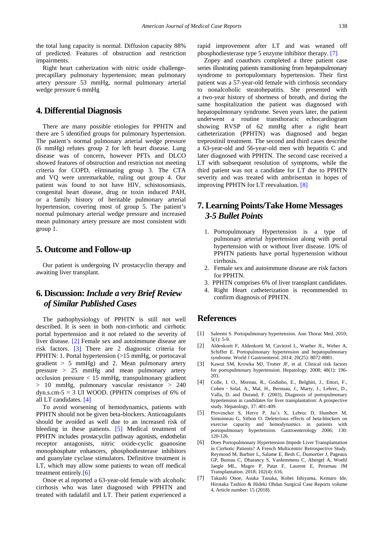the total lung capacity is normal. Diffusion capacity 88% of predicted. Features of obstruction and restriction impairments.

Right heart catherization with nitric oxide challengeprecapillary pulmonary hypertension; mean pulmonary artery pressure 53 mmHg, normal pulmonary arterial wedge pressure 6 mmHg

#### **4. Differential Diagnosis**

There are many possible etiologies for PPHTN and there are 5 identified groups for pulmonary hypertension. The patient's normal pulmonary arterial wedge pressure (6 mmHg) refutes group 2 for left heart disease. Lung disease was of concern, however PFTs and DLCO showed features of obstruction and restriction not meeting criteria for COPD, eliminating group 3. The CTA and VQ were unremarkable, ruling out group 4. Our patient was found to not have HIV, schistosomiasis, congenital heart disease, drug or toxin induced PAH, or a family history of heritable pulmonary arterial hypertension, covering most of group 5. The patient's normal pulmonary arterial wedge pressure and increased mean pulmonary artery pressure are most consistent with group 1.

#### **5. Outcome and Follow-up**

Our patient is undergoing IV prostacyclin therapy and awaiting liver transplant.

## **6. Discussion:***Include a very Brief Review of Similar Published Cases*

The pathophysiology of PPHTN is still not well described. It is seen in both non-cirrhotic and cirrhotic portal hypertension and it not related to the severity of liver disease. [\[2\]](#page-1-1) Female sex and autoimmune disease are risk factors. [\[3\]](#page-1-2) There are 2 diagnostic criteria for PPHTN: 1. Portal hypertension (>15 mmHg, or portocaval gradient  $> 5$  mmHg) and 2. Mean pulmonary artery pressure > 25 mmHg and mean pulmonary artery occlusion pressure < 15 mmHg, transpulmonary gradient > 10 mmHg, pulmonary vascular resistance > 240 dyn.s.cm-5 = 3 UI WOOD. (PPHTN comprises of 6% of all LT candidates. [\[4\]](#page-1-3)

To avoid worsening of hemodynamics, patients with PPHTN should not be given beta-blockers. Anticoagulants should be avoided as well due to an increased risk of bleeding in these patients. [\[5\]](#page-1-4) Medical treatment of PPHTN includes prostacyclin pathway agonists, endothelin receptor antagonists, nitric oxide-cyclic guanosine monophosphate enhancers, phosphodiesterase inhibitors and guanylate cyclase stimulators. Definitive treatment is LT, which may allow some patients to wean off medical treatment entirely[.\[6\]](#page-1-5)

Onoe et al reported a 63-year-old female with alcoholic cirrhosis who was later diagnosed with PPHTN and treated with tadalafil and LT. Their patient experienced a rapid improvement after LT and was weaned off phosphodiesterase type 5 enzyme inhibitor therapy. [\[7\]](#page-1-6)

Zopey and coauthors completed a three patient case series illustrating patients transitioning from hepatopulmonary syndrome to portopulomnary hypertension. Their first patient was a 57-year-old female with cirrhosis secondary to nonalcoholic steatohepatitis. She presented with a two-year history of shortness of breath, and during the same hospitalization the patient was diagnosed with hepatopulmonary syndrome. Seven years later, the patient underwent a routine transthoracic echocardiogram showing RVSP of 62 mmHg after a right heart catheterization (PPHTN) was diagnosed and began treprostinil treatment. The second and third cases describe a 63-year-old and 56-year-old men with hepatitis C and later diagnosed with PPHTN. The second case received a LT with subsequent resolution of symptoms, while the third patient was not a candidate for LT due to PPHTN severity and was treated with ambrisentan in hopes of improving PPHTN for LT reevaluation. [\[8\]](#page-2-0)

## **7. Learning Points/Take Home Messages** *3-5 Bullet Points*

- 1. Portopulmonary Hypertension is a type of pulmonary arterial hypertension along with portal hypertension with or without liver disease. 10% of PPHTN patients have portal hypertension without cirrhosis.
- 2. Female sex and autoimmune disease are risk factors for PPHTN.
- 3. PPHTN comprises 6% of liver transplant candidates.
- 4. Right Heart catheterization is recommended to confirm diagnosis of PPHTN.

### **References**

- <span id="page-1-0"></span>[1] Saleemi S. Portopulmonary hypertension. Ann Thorac Med. 2010;  $5(1)$ :  $5-9$ .
- <span id="page-1-1"></span>[2] Aldenkortt F, Aldenkortt M, Caviezel L, Waeber JL, Weber A, Schiffer E. Portopulmonary hypertension and hepatopulmonary syndrome. World J Gastroenterol. 2014; 20(25): 8072-8081.
- <span id="page-1-2"></span>[3] Kawut SM, Krowka MJ, Trotter JF, et al. Clinical risk factors for portopulmonary hypertension. Hepatology. 2008; 48(1): 196- 203.
- <span id="page-1-3"></span>[4] Colle, I. O., Moreau, R., Godinho, E., Belghiti, J., Ettori, F., Cohen - Solal, A., Mal, H., Bernuau, J., Marty, J., Lebrec, D., Valla, D. and Durand, F. (2003), Diagnosis of portopulmonary hypertension in candidates for liver transplantation: A prospective study. Hepatology, 37: 401-409.
- <span id="page-1-4"></span>[5] Provencher S, Herve P, Jaı¨s X, Lebrec D, Humbert M, Simonneau G, Sitbon O. Deleterious effects of beta-blockers on exercise capacity and hemodynamics in patients with portopulmonary hypertension. Gastroenterology 2006; 130: 120-126.
- <span id="page-1-5"></span>[6] Does Portopulmonary Hypertension Impede Liver Transplantation in Cirrhotic Patients? A French Multicentric Retrospective Study. Reymond M, Barbier L, Salame E, Besh C, Dumortier J, Pageaux GP, Bureau C, Dharancy S, Vanlemmens C, Abergel A, Woehl Jaegle ML, Magro P, Patat F, Laurent E, Perarnau JM Transplantation. 2018; 102(4): 616.
- <span id="page-1-6"></span>[7] Takashi Onoe, Asuka Tanaka, Kohei Ishiyama, Kentaro Ide, Hirotaka Tashiro & Hideki Ohdan Surgical Case Reports volume 4, Article number: 15 (2018).